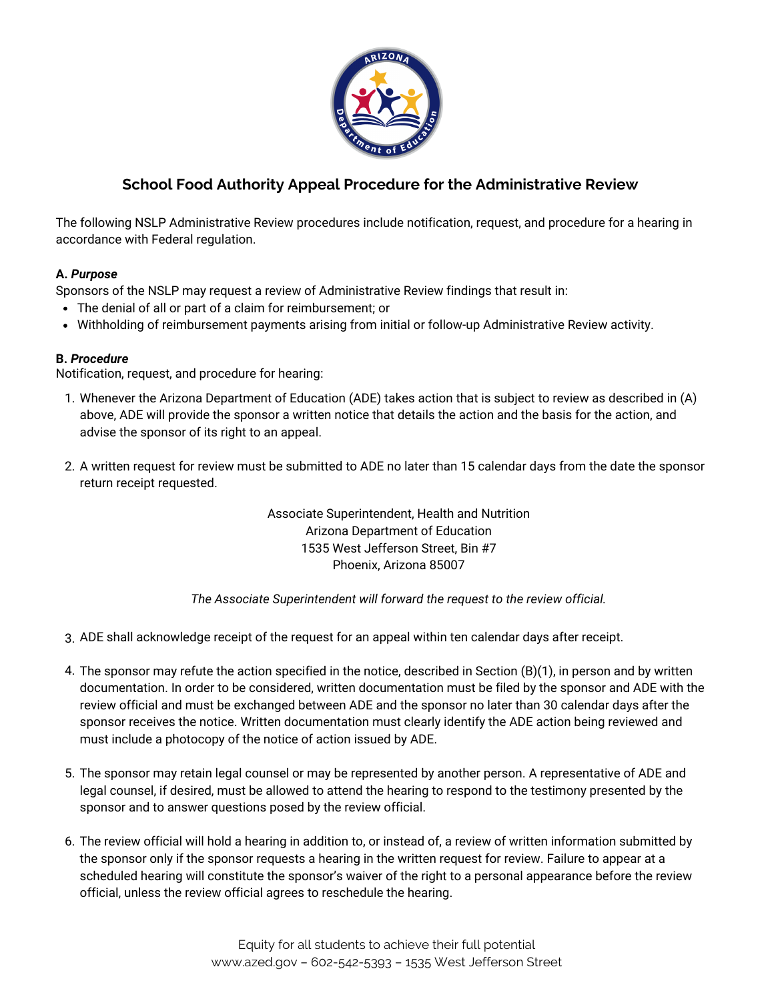

## **School Food Authority Appeal Procedure for the Administrative Review**

The following NSLP Administrative Review procedures include notification, request, and procedure for a hearing in accordance with Federal regulation.

## **A.** *Purpose*

Sponsors of the NSLP may request a review of Administrative Review findings that result in:

- The denial of all or part of a claim for reimbursement; or
- Withholding of reimbursement payments arising from initial or follow-up Administrative Review activity.

## **B.** *Procedure*

Notification, request, and procedure for hearing:

- 1. Whenever the Arizona Department of Education (ADE) takes action that is subject to review as described in (A) above, ADE will provide the sponsor a written notice that details the action and the basis for the action, and advise the sponsor of its right to an appeal.
- A written request for review must be submitted to ADE no later than 15 calendar days from the date the sponsor 2. return receipt requested.

Associate Superintendent, Health and Nutrition Arizona Department of Education 1535 West Jefferson Street, Bin #7 Phoenix, Arizona 85007

*The Associate Superintendent will forward the request to the review official.*

- ADE shall acknowledge receipt of the request for an appeal within ten calendar days after receipt. 3.
- 4. The sponsor may refute the action specified in the notice, described in Section (B)(1), in person and by written documentation. In order to be considered, written documentation must be filed by the sponsor and ADE with the review official and must be exchanged between ADE and the sponsor no later than 30 calendar days after the sponsor receives the notice. Written documentation must clearly identify the ADE action being reviewed and must include a photocopy of the notice of action issued by ADE.
- 5. The sponsor may retain legal counsel or may be represented by another person. A representative of ADE and legal counsel, if desired, must be allowed to attend the hearing to respond to the testimony presented by the sponsor and to answer questions posed by the review official.
- 6. The review official will hold a hearing in addition to, or instead of, a review of written information submitted by the sponsor only if the sponsor requests a hearing in the written request for review. Failure to appear at a scheduled hearing will constitute the sponsor's waiver of the right to a personal appearance before the review official, unless the review official agrees to reschedule the hearing.